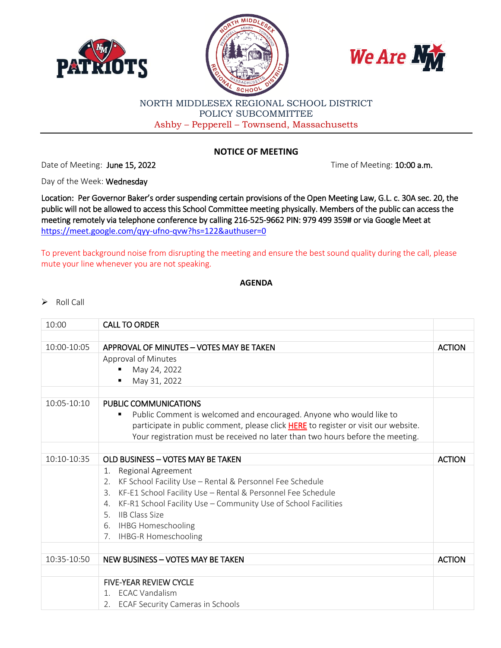





## NORTH MIDDLESEX REGIONAL SCHOOL DISTRICT POLICY SUBCOMMITTEE Ashby – Pepperell – Townsend, Massachusetts

## **NOTICE OF MEETING**

Date of Meeting: June 15, 2022 **The State of Meeting: 10:00 a.m.** 

Day of the Week: Wednesday

Location: Per Governor Baker's order suspending certain provisions of the Open Meeting Law, G.L. c. 30A sec. 20, the public will not be allowed to access this School Committee meeting physically. Members of the public can access the meeting remotely via telephone conference by calling 216-525-9662 PIN: 979 499 359# or via Google Meet at <https://meet.google.com/qyy-ufno-qvw?hs=122&authuser=0>

To prevent background noise from disrupting the meeting and ensure the best sound quality during the call, please mute your line whenever you are not speaking.

## **AGENDA**

## $\triangleright$  Roll Call

| 10:00       | <b>CALL TO ORDER</b>                                                               |               |
|-------------|------------------------------------------------------------------------------------|---------------|
|             |                                                                                    |               |
| 10:00-10:05 | APPROVAL OF MINUTES - VOTES MAY BE TAKEN                                           | <b>ACTION</b> |
|             | Approval of Minutes                                                                |               |
|             | May 24, 2022                                                                       |               |
|             | May 31, 2022                                                                       |               |
|             |                                                                                    |               |
| 10:05-10:10 | PUBLIC COMMUNICATIONS                                                              |               |
|             | Public Comment is welcomed and encouraged. Anyone who would like to<br>٠           |               |
|             | participate in public comment, please click HERE to register or visit our website. |               |
|             | Your registration must be received no later than two hours before the meeting.     |               |
|             |                                                                                    |               |
| 10:10-10:35 | OLD BUSINESS - VOTES MAY BE TAKEN                                                  | <b>ACTION</b> |
|             | Regional Agreement<br>1.                                                           |               |
|             | KF School Facility Use - Rental & Personnel Fee Schedule<br>2.                     |               |
|             | KF-E1 School Facility Use - Rental & Personnel Fee Schedule<br>3.                  |               |
|             | KF-R1 School Facility Use - Community Use of School Facilities<br>4.               |               |
|             | <b>IIB Class Size</b><br>$5 -$                                                     |               |
|             | <b>IHBG Homeschooling</b><br>6.                                                    |               |
|             | 7. IHBG-R Homeschooling                                                            |               |
|             |                                                                                    |               |
| 10:35-10:50 | NEW BUSINESS - VOTES MAY BE TAKEN                                                  | <b>ACTION</b> |
|             |                                                                                    |               |
|             | <b>FIVE-YEAR REVIEW CYCLE</b>                                                      |               |
|             | 1. ECAC Vandalism                                                                  |               |
|             | <b>ECAF Security Cameras in Schools</b><br>2.                                      |               |